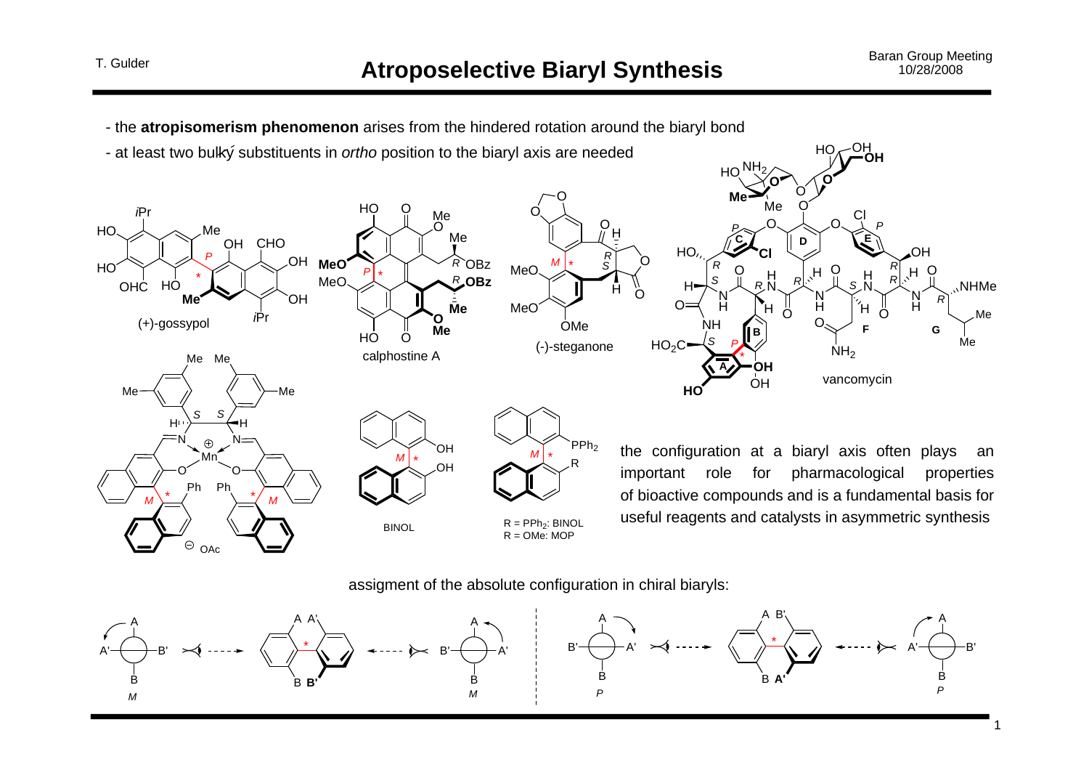1



assigment of the absolute configuration in chiral biaryls:

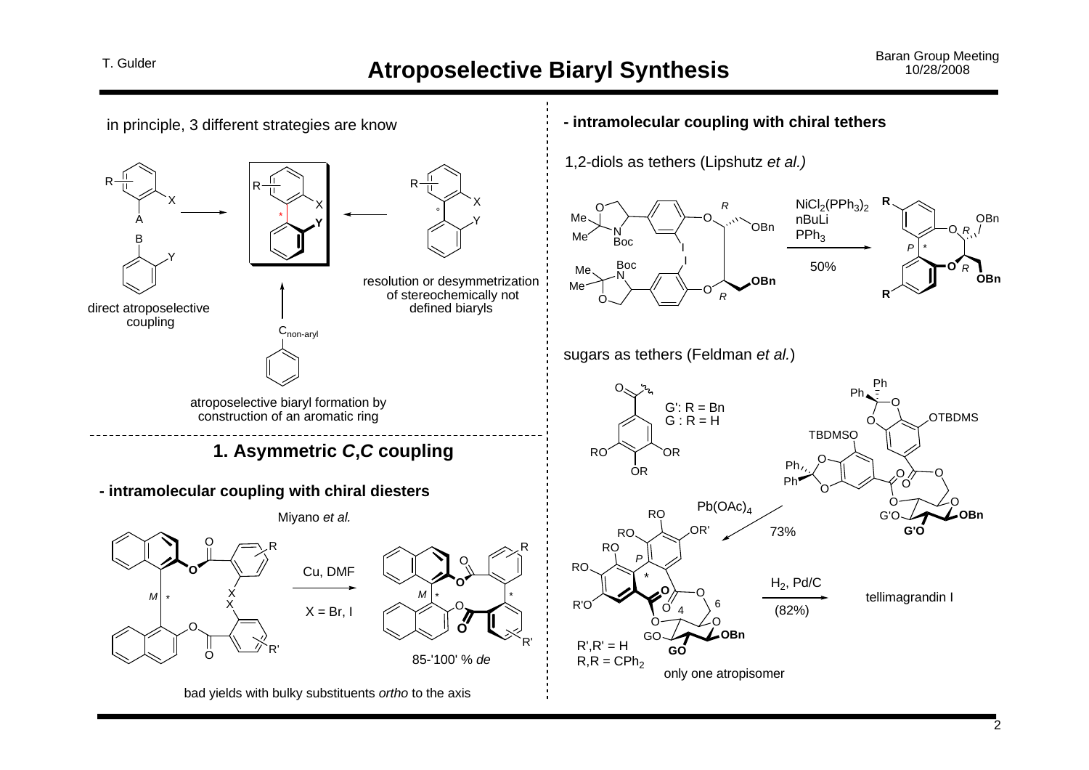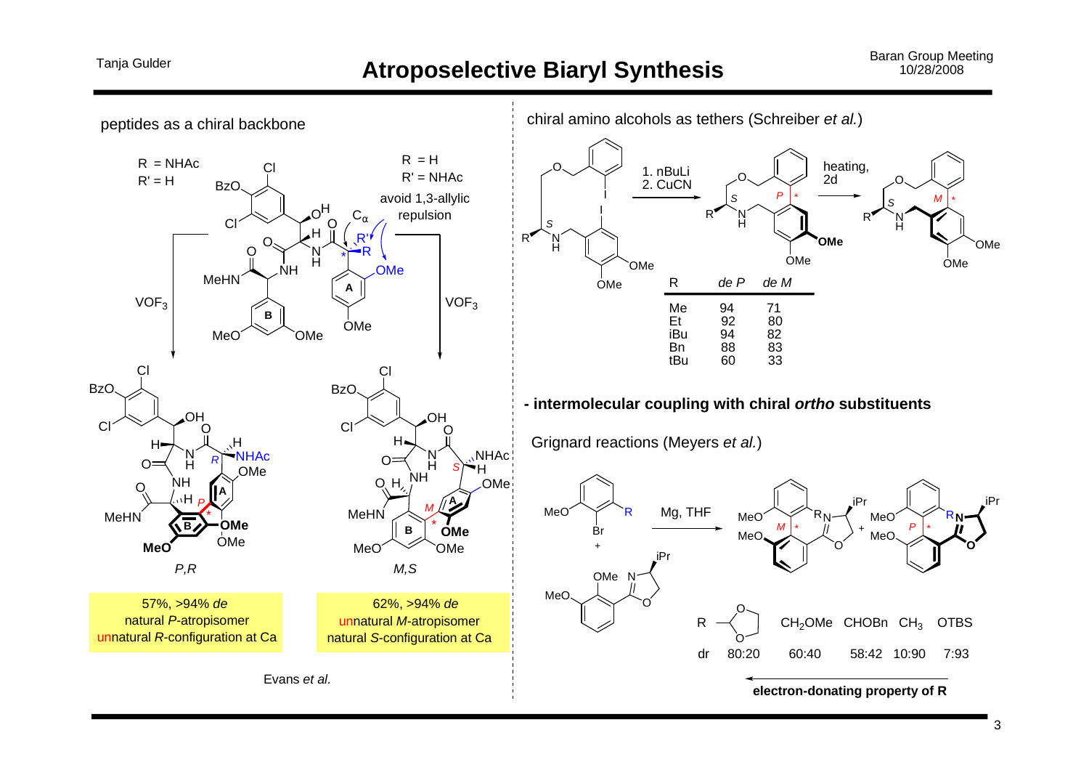#### **Atroposelective Biaryl Synthesis**

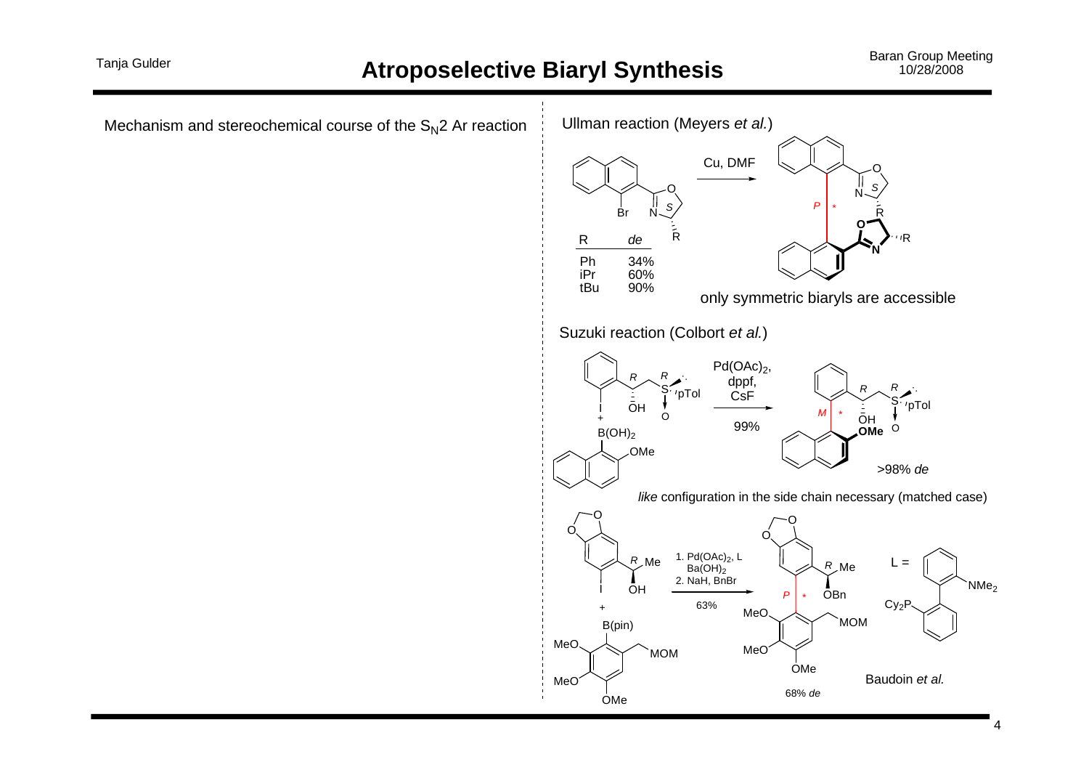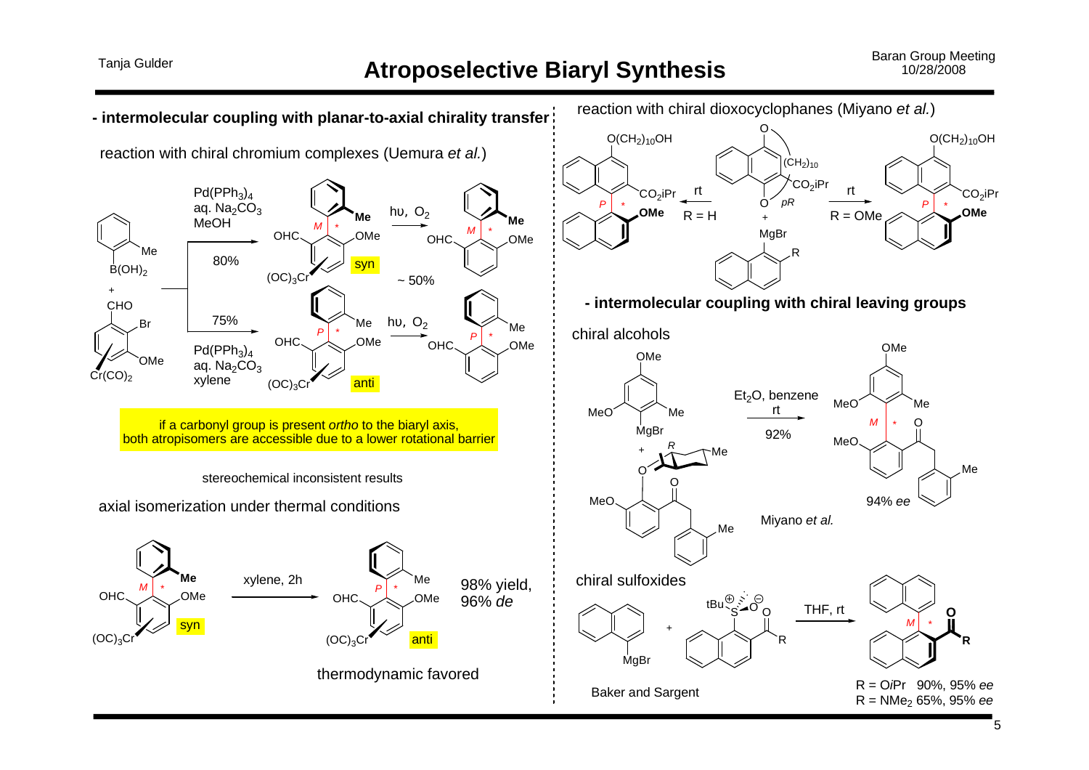### **Atroposelective Biaryl Synthesis**

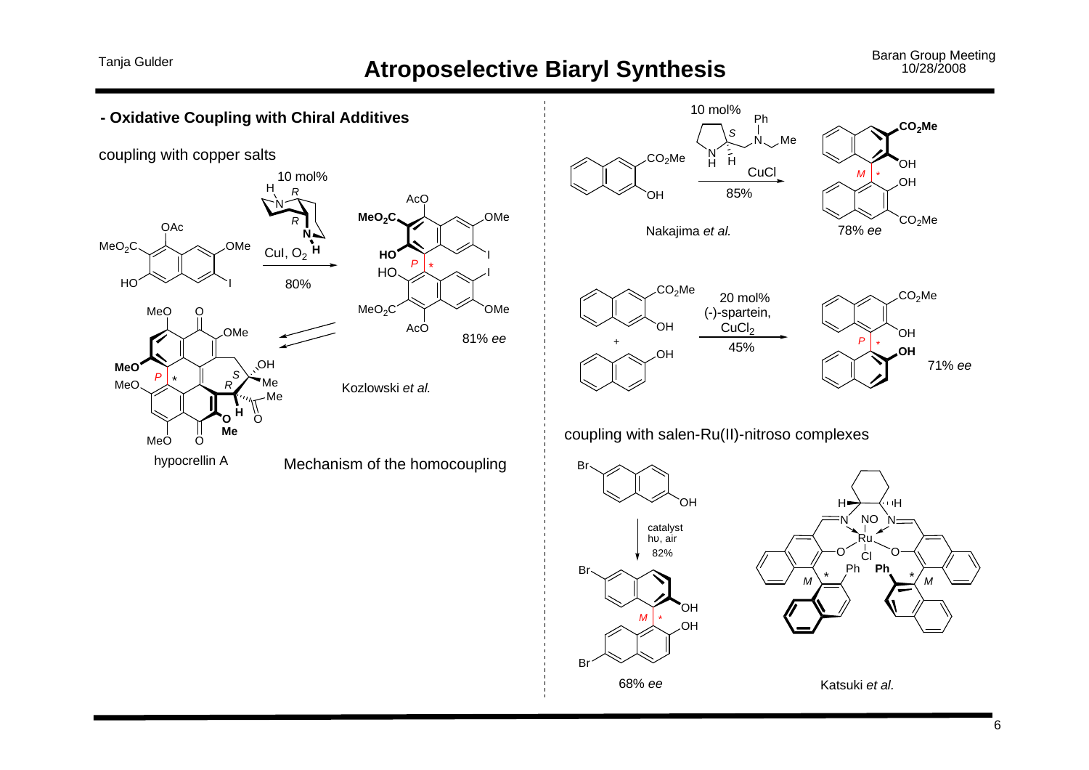# Tanja Gulder **Atroposelective Biaryl Synthesis** Baran Group Meeting 10/28/2008

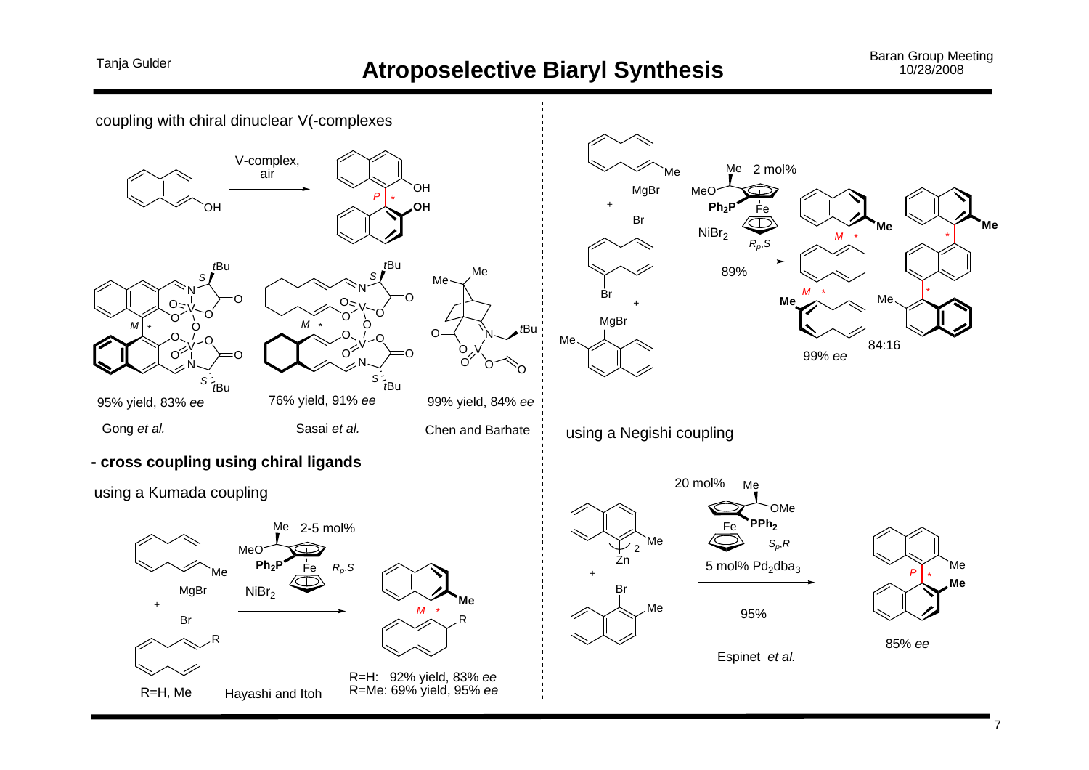# Tanja Gulder **Atroposelective Biaryl Synthesis** Baran Group Meeting Baran Group Meeting 10/28/2008



 $7^{\circ}$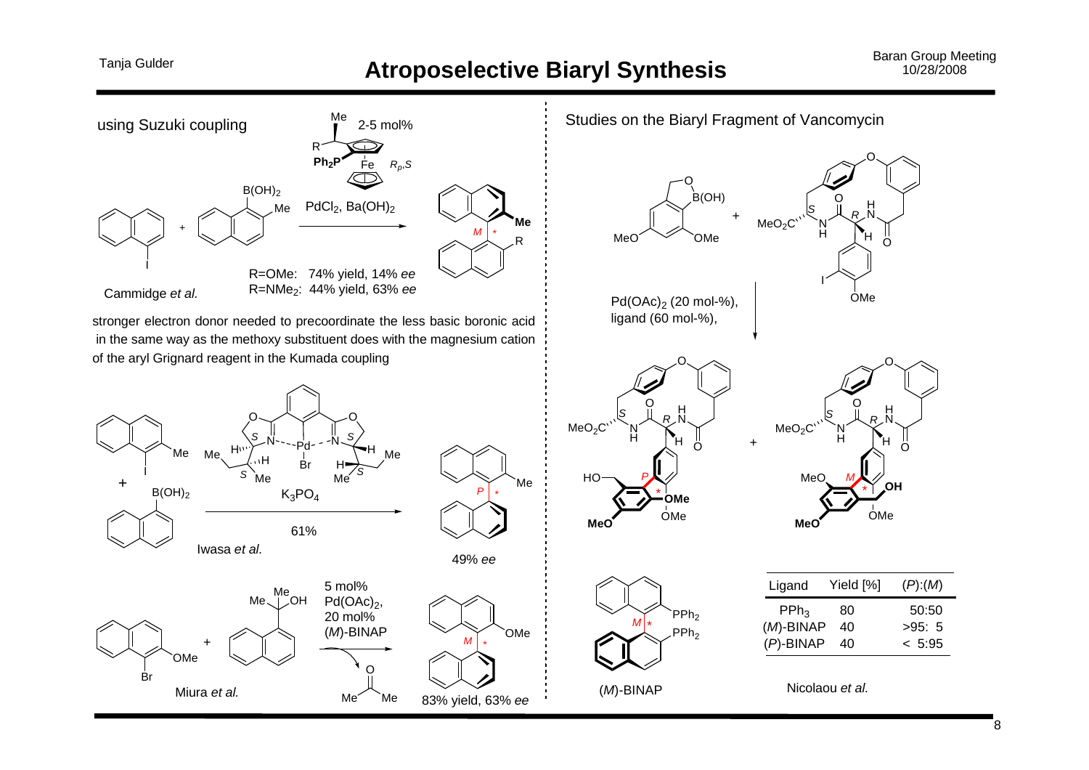# Tanja Gulder **Atroposelective Biaryl Synthesis** Baran Group Meeting 10/28/2008

![](_page_7_Figure_3.jpeg)

stronger electron donor needed to precoordinate the less basic boronic acid in the same way as the methoxy substituent does with the magnesium cation of the aryl Grignard reagent in the Kumada coupling

![](_page_7_Figure_5.jpeg)

![](_page_7_Figure_6.jpeg)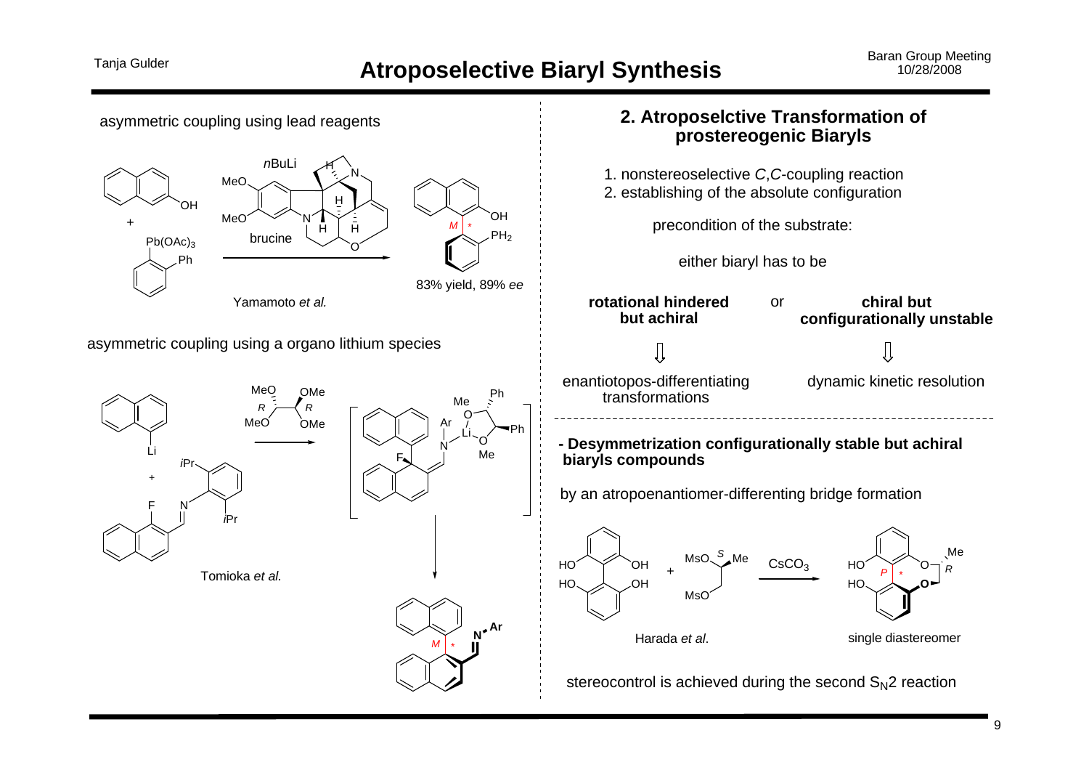![](_page_8_Figure_3.jpeg)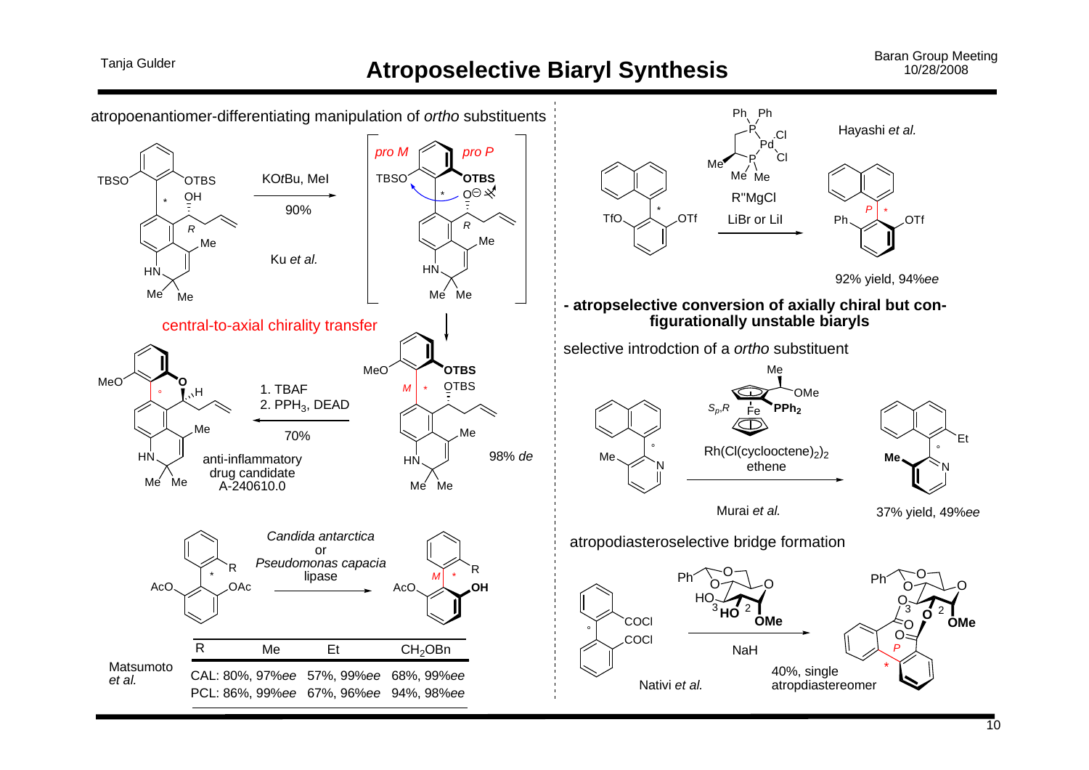# Tanja Gulder **Atroposelective Biaryl Synthesis** Baran Group Meeting Baran Group Meeting 10/28/2008

![](_page_9_Figure_3.jpeg)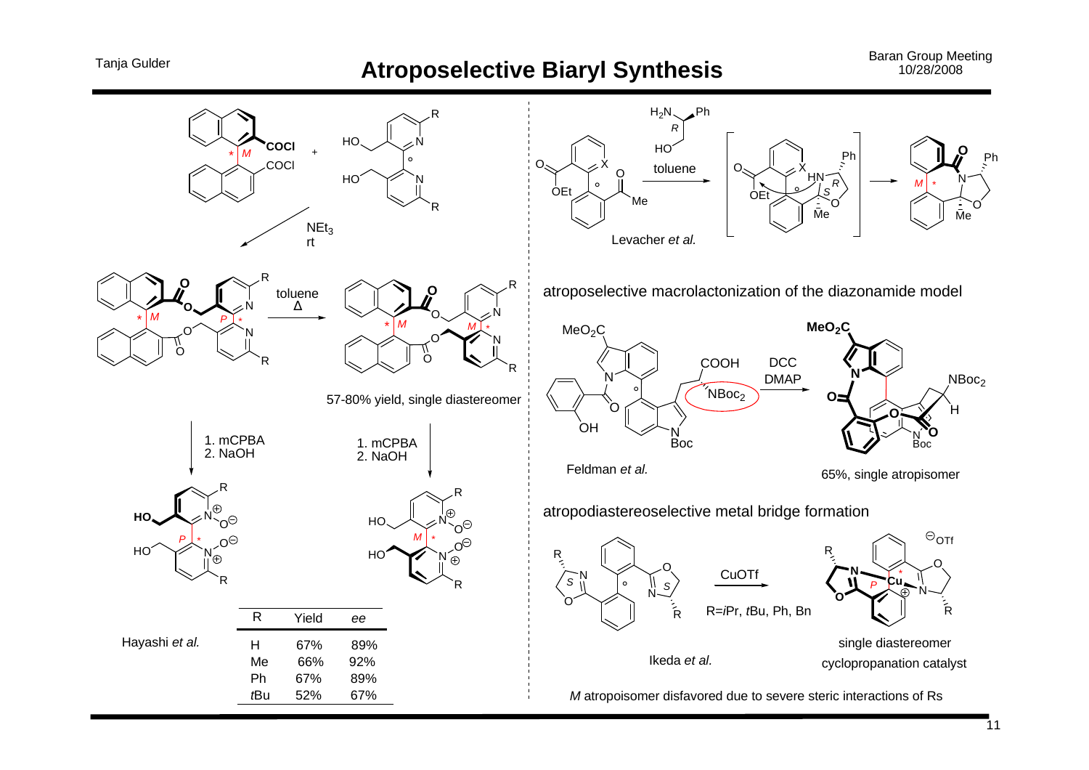# Tanja Gulder **Atroposelective Biaryl Synthesis** Baran Group Meeting Meeting 10/28/2008

![](_page_10_Figure_2.jpeg)

![](_page_10_Figure_3.jpeg)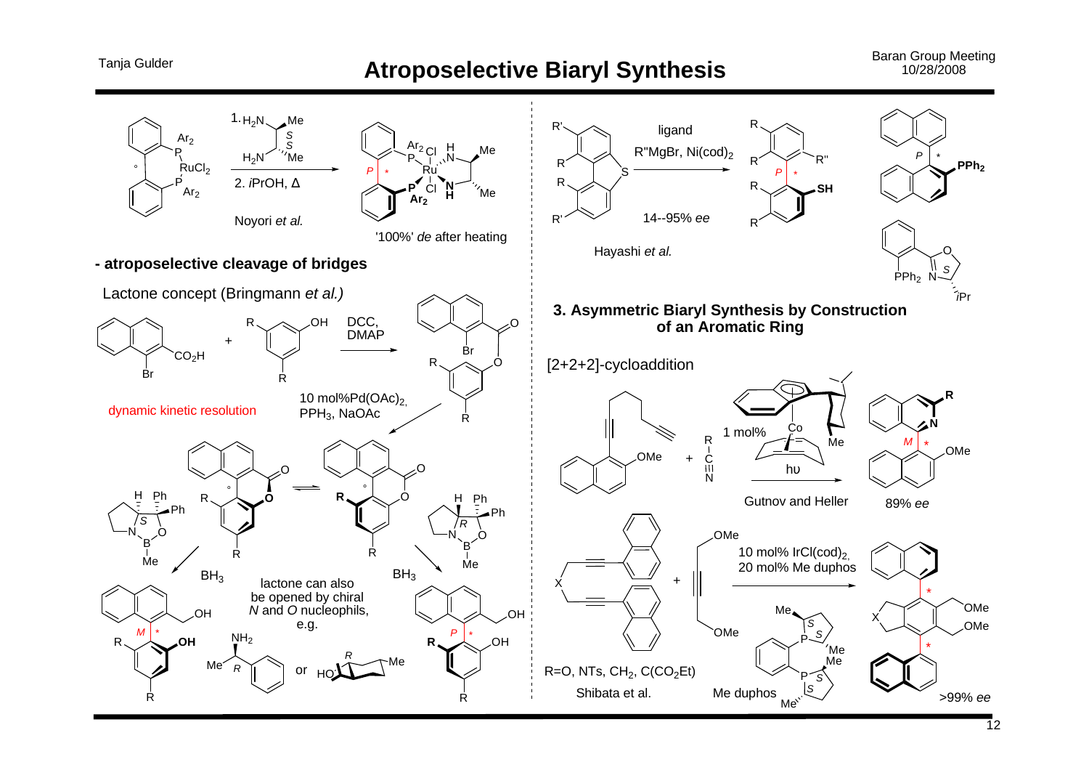![](_page_11_Figure_3.jpeg)